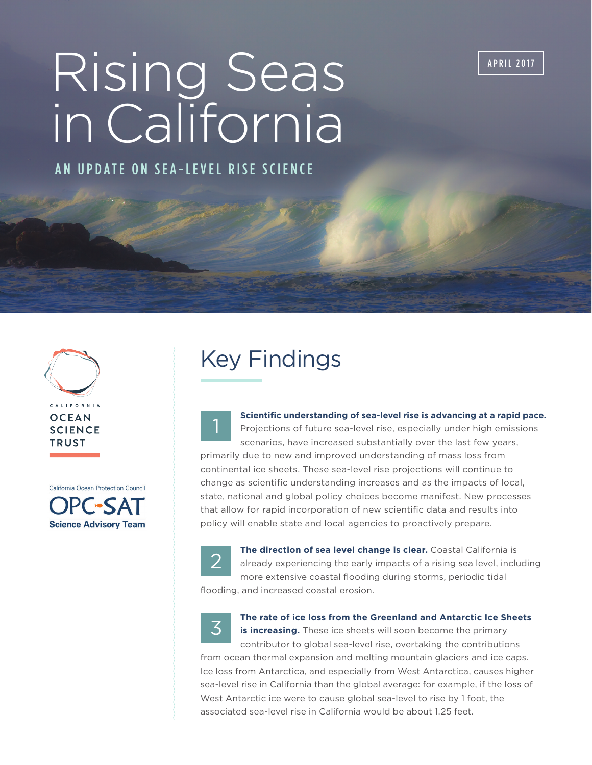APRIL 2017

# Rising Seas in California

AN UPDATE ON SEA-LEVEL RISE SCIENCE



California Ocean Protection Council **DPC-SAT Science Advisory Team** 

## Key Findings



Projections of future sea-level rise, especially under high emissions scenarios, have increased substantially over the last few years, primarily due to new and improved understanding of mass loss from continental ice sheets. These sea-level rise projections will continue to change as scientific understanding increases and as the impacts of local, state, national and global policy choices become manifest. New processes that allow for rapid incorporation of new scientific data and results into policy will enable state and local agencies to proactively prepare.

**Scientific understanding of sea-level rise is advancing at a rapid pace.** 



**The direction of sea level change is clear.** Coastal California is already experiencing the early impacts of a rising sea level, including more extensive coastal flooding during storms, periodic tidal flooding, and increased coastal erosion.



**The rate of ice loss from the Greenland and Antarctic Ice Sheets** 

**is increasing.** These ice sheets will soon become the primary contributor to global sea-level rise, overtaking the contributions from ocean thermal expansion and melting mountain glaciers and ice caps. Ice loss from Antarctica, and especially from West Antarctica, causes higher sea-level rise in California than the global average: for example, if the loss of West Antarctic ice were to cause global sea-level to rise by 1 foot, the associated sea-level rise in California would be about 1.25 feet.